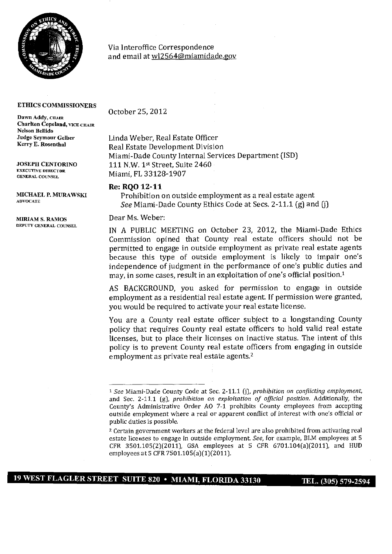

Via Interoffice Correspondence and email at w12564@miamidade.gov

## **ETHICS COMMISSIONERS**

Dawn Addy, CHAIR Charlton Copeland, VICE CHAIR Nelson Bellido Judge Seymour Gelber Kerry E. Rosenthal

JOSEPH CENTORINO EXECUTIVE DIRECTOR **GENERAL COUNSEL** 

MIRIAM S. RAMOS<br>
DEAT MS. Weber:<br>
DEPUTY GENERAL COUNSEL

October 25, 2012

Linda Weber, Real Estate Officer Real Estate Development Division Miami-Dade County Internal Services Department (ISD) 111 N.W. 1st Street, Suite 2460 Miami, FL 33128-1907

## **Re: RQO 12-11**

MICHAEL P. MURAWSKI Prohibition on outside employment as a real estate agent See Miami-Dade County Ethics Code at Secs. 2-11.1 (g) and (j)

IN A PUBLIC MEETING on October 23, 2012, the Miami-Dade Ethics Commission opined that County real estate officers should not be permitted to engage in outside employment as private real estate agents because this type of outside employment is likely to impair one's independence of judgment in the performance of one's public duties and may, in some cases, result in an exploitation of one's official position.<sup>1</sup>

AS BACKGROUND, you asked for permission to engage in outside employment as a residential real estate agent If permission were granted, you would be required to activate your real estate license.

You are a County real estate officer subject to a longstanding County policy that requires County real estate officers to hold valid real estate licenses, but to place their licenses on inactive status. The intent of this policy is to prevent County real estate officers from engaging in outside employment as private real estate agents.<sup>2</sup>

<sup>1</sup> *See* Miami-Dade County Code at Sec. 2-11.1 (j), *prohibition on conflicting employment,*  and Sec. 2-11.1 *(g), prohibition on exploitation of official position.* Additionally, the County's Administrative Order AO 7-1 prohibits County employees from accepting outside employment where a real or apparent conflict of interest with one's official or public duties is possible.

<sup>2</sup>Certain government workers at the federal level are also prohibited from activating real estate licenses to engage in outside employment *See,* for example, BLM employees at S CFR 3501.105(2)(2011), GSA employees at 5 CFR 6701.104(a)(2011), and HUD employees at 5 CFR 7501.105(a)(1)(2011).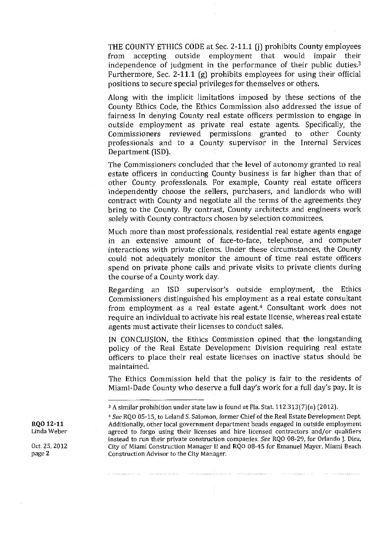THE COUNTY ETHICS CODE at Sec. 2-11.1 (j) prohibits County employees from accepting outside employment that would impair their independence of judgment in the performance of their public duties.3 Furthermore, Sec. 2-11.1 (g) prohibits employees for using their official positions to secure special privileges for themselves or others.

Along with the implicit limitations imposed by these sections of the County Ethics Code, the Ethics Commission also addressed the issue of fairness in denying County real estate officers permission to engage in outside employment as private real estate agents. Specifically, the Commissioners reviewed permissions granted to other County professionals and to a County supervisor in the Internal Services Department (ISD).

The Commissioners concluded that the level of autonomy granted to real estate officers in conducting County business is far higher than that of other County professionals. For example, County real estate officers independently choose the sellers, purchasers, and landlords who will contract with County and negotiate all the terms of the agreements they bring to the County. By contrast, County architects and engineers work solely with County contractors chosen by selection committees.

Much more than most professionals, residential real estate agents engage in an extensive amount of face-to-face, telephone, and computer interactions with private clients. Under these circumstances, the County could not adequately monitor the amount of time real estate officers spend on private phone calls and private visits to private clients during the course of a County work day.

Regarding an ISD supervisor's outside employment, the Ethics Commissioners distinguished his employment as a real estate consultant from employment as a real estate agent.<sup>4</sup> Consultant work does not require an individual to activate his real estate license, whereas real estate agents must activate their licenses to conduct sales.

IN CONCLUSION, the Ethics Commission opined that the longstanding policy of the Real Estate Development Division requiring real estate officers to place their real estate licenses on inactive status should be maintained.

The Ethics Commission held that the policy is fair to the residents of Miami-Dade County who deserve a full day's work for a full day's pay. It is

<sup>&</sup>lt;sup>3</sup> A similar prohibition under state law is found at Fla. Stat. 112.313(7)(a) (2012).

<sup>4</sup>*See* RQO 05-15, to Leland S, Salomon, former Chief of the Real Estate Development Dept. RQO 12-11  $\qquad$  Additionally, other local government department heads engaged in outside employment<br>Linda Weber  $\qquad$  agreed to forgo using their licenses and bire licensed contractors and/or qualifiers agreed to forgo using their licenses and hire licensed contractors and/or qualifiers instead to run their private construction companies. *See* RQO 08-29, for Orlando J. Diez, Oct. 25, 2012 City of Miami Construction Manager II and RQO 08-45 for Emanuel Mayer, Miami Beach<br>page 2 Construction Advisor to the City Manager. Construction Advisor to the City Manager.